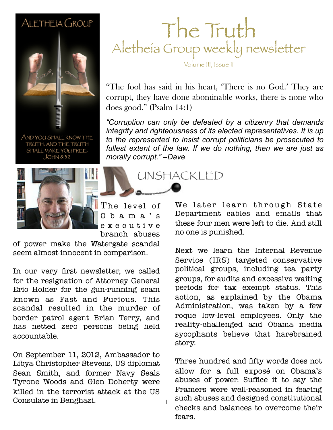#### ALETHEIA GROUP



AND YOU SHALL KNOW THE TRUTH, AND THE TRUTH SHALL MAKE YOU FREE.  $JOHM 8:32$ 



The level of O b a m a ' s e x e c u t i v e branch abuses

1

of power make the Watergate scandal seem almost innocent in comparison.

In our very first newsletter, we called for the resignation of Attorney General Eric Holder for the gun-running scam known as Fast and Furious. This scandal resulted in the murder of border patrol agent Brian Terry, and has netted zero persons being held accountable.

On September 11, 2012, Ambassador to Libya Christopher Stevens, US diplomat Sean Smith, and former Navy Seals Tyrone Woods and Glen Doherty were killed in the terrorist attack at the US Consulate in Benghazi.

### The Truth Aletheia Group weekly newsletter

Volume III, Issue 11

"The fool has said in his heart, 'There is no God.' They are corrupt, they have done abominable works, there is none who does good." (Psalm 14:1)

**February 26, 2011 Sample** *"Corruption can only be defeated by a citizenry that demands integrity and righteousness of its elected representatives. It is up to the represented to insist corrupt politicians be prosecuted to fullest extent of the law. If we do nothing, then we are just as morally corrupt." –Dave*

UNSHACKLED

We later learn through State Department cables and emails that these four men were left to die. And still no one is punished.

Next we learn the Internal Revenue Service (IRS) targeted conservative political groups, including tea party groups, for audits and excessive waiting periods for tax exempt status. This action, as explained by the Obama Administration, was taken by a few roque low-level employees. Only the reality-challenged and Obama media sycophants believe that harebrained story.

Three hundred and fifty words does not allow for a full exposé on Obama's abuses of power. Suffice it to say the Framers were well-reasoned in fearing such abuses and designed constitutional checks and balances to overcome their fears.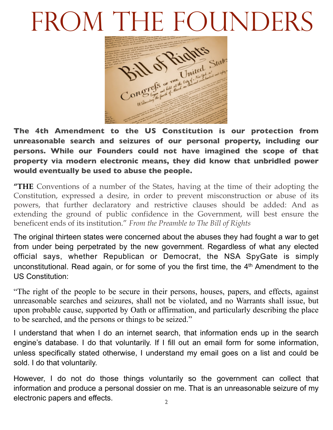## FROM THE FOUNDERS



**The 4th Amendment to the US Constitution is our protection from unreasonable search and seizures of our personal property, including our persons. While our Founders could not have imagined the scope of that property via modern electronic means, they did know that unbridled power would eventually be used to abuse the people.**

**"THE** Conventions of a number of the States, having at the time of their adopting the Constitution, expressed a desire, in order to prevent misconstruction or abuse of its powers, that further declaratory and restrictive clauses should be added: And as extending the ground of public confidence in the Government, will best ensure the beneficent ends of its institution." *From the Preamble to The Bill of Rights*

The original thirteen states were concerned about the abuses they had fought a war to get from under being perpetrated by the new government. Regardless of what any elected official says, whether Republican or Democrat, the NSA SpyGate is simply unconstitutional. Read again, or for some of you the first time, the 4th Amendment to the US Constitution:

"The right of the people to be secure in their persons, houses, papers, and effects, against unreasonable searches and seizures, shall not be violated, and no Warrants shall issue, but upon probable cause, supported by Oath or affirmation, and particularly describing the place to be searched, and the persons or things to be seized."

I understand that when I do an internet search, that information ends up in the search engine's database. I do that voluntarily. If I fill out an email form for some information, unless specifically stated otherwise, I understand my email goes on a list and could be sold. I do that voluntarily.

However, I do not do those things voluntarily so the government can collect that information and produce a personal dossier on me. That is an unreasonable seizure of my electronic papers and effects.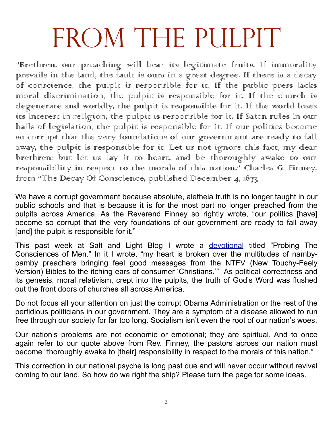# FROM THE PULPIT

"Brethren, our preaching will bear its legitimate fruits. If immorality prevails in the land, the fault is ours in a great degree. If there is a decay of conscience, the pulpit is responsible for it. If the public press lacks moral discrimination, the pulpit is responsible for it. If the church is degenerate and worldly, the pulpit is responsible for it. If the world loses its interest in religion, the pulpit is responsible for it. If Satan rules in our halls of legislation, the pulpit is responsible for it. If our politics become so corrupt that the very foundations of our government are ready to fall away, the pulpit is responsible for it. Let us not ignore this fact, my dear brethren; but let us lay it to heart, and be thoroughly awake to our responsibility in respect to the morals of this nation." Charles G. Finney, from "The Decay Of Conscience, published December 4, 1873,

We have a corrupt government because absolute, aletheia truth is no longer taught in our public schools and that is because it is for the most part no longer preached from the pulpits across America. As the Reverend Finney so rightly wrote, "our politics [have] become so corrupt that the very foundations of our government are ready to fall away [and] the pulpit is responsible for it."

This past week at Salt and Light Blog I wrote a [devotional](http://www.saltandlightblog.com/14673/probing-the-consciences-of-men/) titled "Probing The Consciences of Men." In it I wrote, "my heart is broken over the multitudes of nambypamby preachers bringing feel good messages from the NTFV (New Touchy-Feely Version) Bibles to the itching ears of consumer 'Christians.'" As political correctness and its genesis, moral relativism, crept into the pulpits, the truth of God's Word was flushed out the front doors of churches all across America.

Do not focus all your attention on just the corrupt Obama Administration or the rest of the perfidious politicians in our government. They are a symptom of a disease allowed to run free through our society for far too long. Socialism isn't even the root of our nation's woes.

Our nation's problems are not economic or emotional; they are spiritual. And to once again refer to our quote above from Rev. Finney, the pastors across our nation must become "thoroughly awake to [their] responsibility in respect to the morals of this nation."

This correction in our national psyche is long past due and will never occur without revival coming to our land. So how do we right the ship? Please turn the page for some ideas.